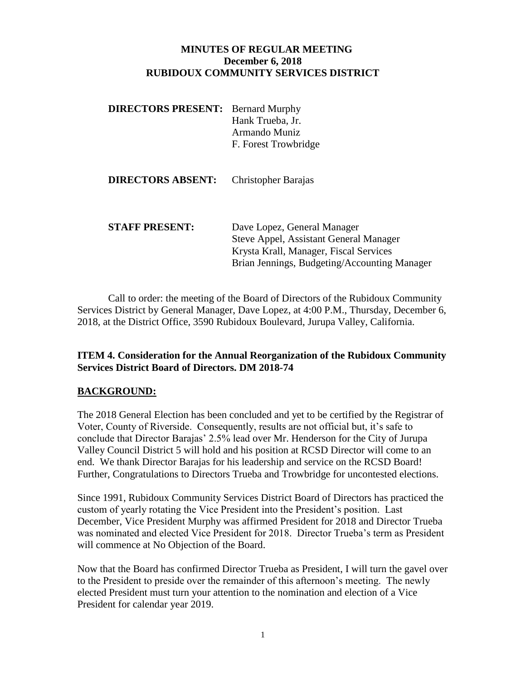## **MINUTES OF REGULAR MEETING December 6, 2018 RUBIDOUX COMMUNITY SERVICES DISTRICT**

**DIRECTORS PRESENT:** Bernard Murphy Hank Trueba, Jr. Armando Muniz F. Forest Trowbridge

| <b>DIRECTORS ABSENT:</b> | Christopher Barajas |
|--------------------------|---------------------|
|--------------------------|---------------------|

**STAFF PRESENT:** Dave Lopez, General Manager Steve Appel, Assistant General Manager Krysta Krall, Manager, Fiscal Services Brian Jennings, Budgeting/Accounting Manager

Call to order: the meeting of the Board of Directors of the Rubidoux Community Services District by General Manager, Dave Lopez, at 4:00 P.M., Thursday, December 6, 2018, at the District Office, 3590 Rubidoux Boulevard, Jurupa Valley, California.

## **ITEM 4. Consideration for the Annual Reorganization of the Rubidoux Community Services District Board of Directors. DM 2018-74**

## **BACKGROUND:**

The 2018 General Election has been concluded and yet to be certified by the Registrar of Voter, County of Riverside. Consequently, results are not official but, it's safe to conclude that Director Barajas' 2.5% lead over Mr. Henderson for the City of Jurupa Valley Council District 5 will hold and his position at RCSD Director will come to an end. We thank Director Barajas for his leadership and service on the RCSD Board! Further, Congratulations to Directors Trueba and Trowbridge for uncontested elections.

Since 1991, Rubidoux Community Services District Board of Directors has practiced the custom of yearly rotating the Vice President into the President's position. Last December, Vice President Murphy was affirmed President for 2018 and Director Trueba was nominated and elected Vice President for 2018. Director Trueba's term as President will commence at No Objection of the Board.

Now that the Board has confirmed Director Trueba as President, I will turn the gavel over to the President to preside over the remainder of this afternoon's meeting. The newly elected President must turn your attention to the nomination and election of a Vice President for calendar year 2019.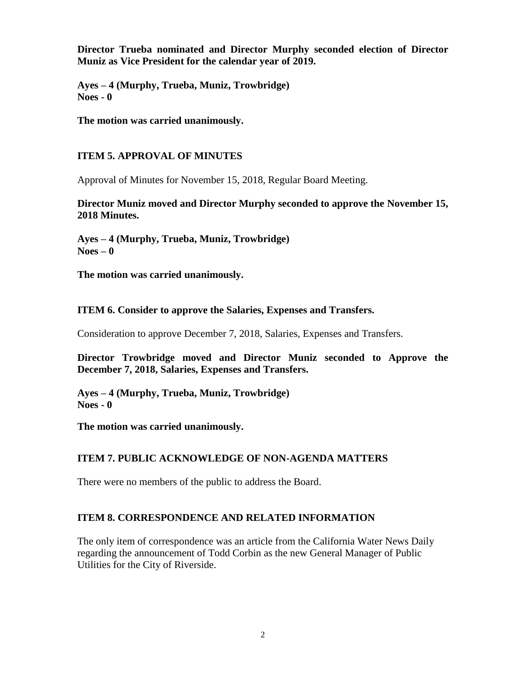**Director Trueba nominated and Director Murphy seconded election of Director Muniz as Vice President for the calendar year of 2019.**

**Ayes – 4 (Murphy, Trueba, Muniz, Trowbridge) Noes - 0**

**The motion was carried unanimously.**

# **ITEM 5. APPROVAL OF MINUTES**

Approval of Minutes for November 15, 2018, Regular Board Meeting.

**Director Muniz moved and Director Murphy seconded to approve the November 15, 2018 Minutes.**

**Ayes – 4 (Murphy, Trueba, Muniz, Trowbridge) Noes – 0** 

**The motion was carried unanimously.**

## **ITEM 6. Consider to approve the Salaries, Expenses and Transfers.**

Consideration to approve December 7, 2018, Salaries, Expenses and Transfers.

**Director Trowbridge moved and Director Muniz seconded to Approve the December 7, 2018, Salaries, Expenses and Transfers.**

**Ayes – 4 (Murphy, Trueba, Muniz, Trowbridge) Noes - 0**

**The motion was carried unanimously.**

## **ITEM 7. PUBLIC ACKNOWLEDGE OF NON-AGENDA MATTERS**

There were no members of the public to address the Board.

## **ITEM 8. CORRESPONDENCE AND RELATED INFORMATION**

The only item of correspondence was an article from the California Water News Daily regarding the announcement of Todd Corbin as the new General Manager of Public Utilities for the City of Riverside.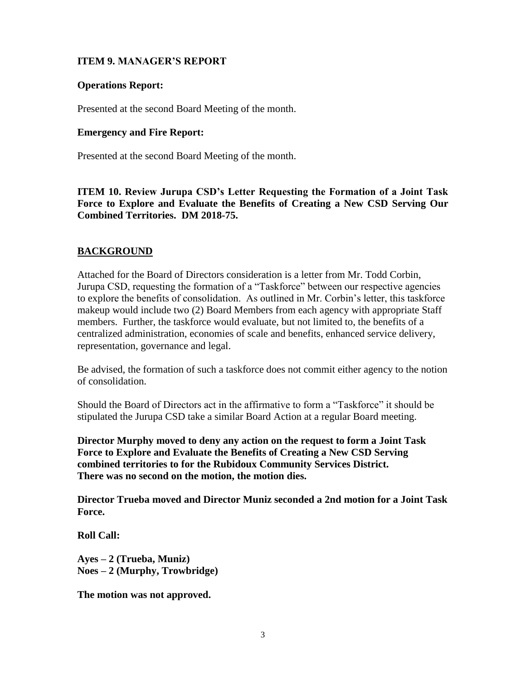## **ITEM 9. MANAGER'S REPORT**

#### **Operations Report:**

Presented at the second Board Meeting of the month.

#### **Emergency and Fire Report:**

Presented at the second Board Meeting of the month.

**ITEM 10. Review Jurupa CSD's Letter Requesting the Formation of a Joint Task Force to Explore and Evaluate the Benefits of Creating a New CSD Serving Our Combined Territories. DM 2018-75.** 

## **BACKGROUND**

Attached for the Board of Directors consideration is a letter from Mr. Todd Corbin, Jurupa CSD, requesting the formation of a "Taskforce" between our respective agencies to explore the benefits of consolidation. As outlined in Mr. Corbin's letter, this taskforce makeup would include two (2) Board Members from each agency with appropriate Staff members. Further, the taskforce would evaluate, but not limited to, the benefits of a centralized administration, economies of scale and benefits, enhanced service delivery, representation, governance and legal.

Be advised, the formation of such a taskforce does not commit either agency to the notion of consolidation.

Should the Board of Directors act in the affirmative to form a "Taskforce" it should be stipulated the Jurupa CSD take a similar Board Action at a regular Board meeting.

**Director Murphy moved to deny any action on the request to form a Joint Task Force to Explore and Evaluate the Benefits of Creating a New CSD Serving combined territories to for the Rubidoux Community Services District. There was no second on the motion, the motion dies.**

**Director Trueba moved and Director Muniz seconded a 2nd motion for a Joint Task Force.**

**Roll Call:**

**Ayes – 2 (Trueba, Muniz) Noes – 2 (Murphy, Trowbridge)**

**The motion was not approved.**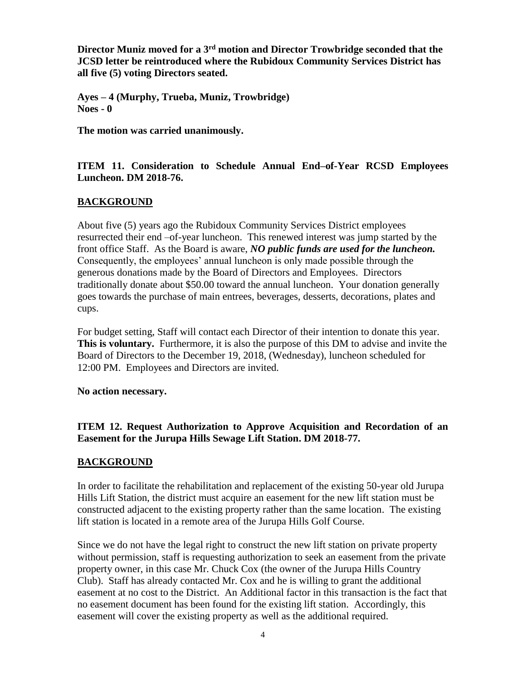**Director Muniz moved for a 3rd motion and Director Trowbridge seconded that the JCSD letter be reintroduced where the Rubidoux Community Services District has all five (5) voting Directors seated.**

**Ayes – 4 (Murphy, Trueba, Muniz, Trowbridge) Noes - 0**

**The motion was carried unanimously.**

**ITEM 11. Consideration to Schedule Annual End–of-Year RCSD Employees Luncheon. DM 2018-76.**

## **BACKGROUND**

About five (5) years ago the Rubidoux Community Services District employees resurrected their end –of-year luncheon. This renewed interest was jump started by the front office Staff. As the Board is aware, *NO public funds are used for the luncheon.* Consequently, the employees' annual luncheon is only made possible through the generous donations made by the Board of Directors and Employees. Directors traditionally donate about \$50.00 toward the annual luncheon. Your donation generally goes towards the purchase of main entrees, beverages, desserts, decorations, plates and cups.

For budget setting, Staff will contact each Director of their intention to donate this year. **This is voluntary.** Furthermore, it is also the purpose of this DM to advise and invite the Board of Directors to the December 19, 2018, (Wednesday), luncheon scheduled for 12:00 PM. Employees and Directors are invited.

**No action necessary.**

**ITEM 12. Request Authorization to Approve Acquisition and Recordation of an Easement for the Jurupa Hills Sewage Lift Station. DM 2018-77.** 

#### **BACKGROUND**

In order to facilitate the rehabilitation and replacement of the existing 50-year old Jurupa Hills Lift Station, the district must acquire an easement for the new lift station must be constructed adjacent to the existing property rather than the same location. The existing lift station is located in a remote area of the Jurupa Hills Golf Course.

Since we do not have the legal right to construct the new lift station on private property without permission, staff is requesting authorization to seek an easement from the private property owner, in this case Mr. Chuck Cox (the owner of the Jurupa Hills Country Club). Staff has already contacted Mr. Cox and he is willing to grant the additional easement at no cost to the District. An Additional factor in this transaction is the fact that no easement document has been found for the existing lift station. Accordingly, this easement will cover the existing property as well as the additional required.